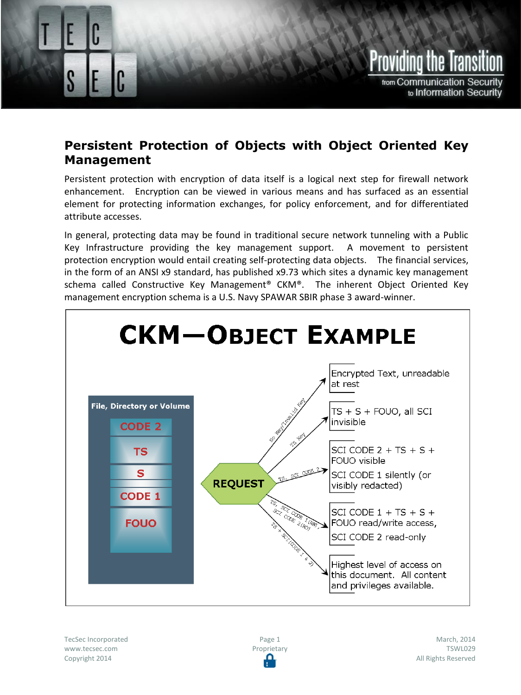

## **Persistent Protection of Objects with Object Oriented Key Management**

Persistent Protection of Objects with Object Oriented Key Management

Persistent protection with encryption of data itself is a logical next step for firewall network enhancement. Encryption can be viewed in various means and has surfaced as an essential element for protecting information exchanges, for policy enforcement, and for differentiated attribute accesses.

In general, protecting data may be found in traditional secure network tunneling with a Public Key Infrastructure providing the key management support. A movement to persistent protection encryption would entail creating self-protecting data objects. The financial services, in the form of an ANSI x9 standard, has published x9.73 which sites a dynamic key management schema called Constructive Key Management® CKM®. The inherent Object Oriented Key management encryption schema is a U.S. Navy SPAWAR SBIR phase 3 award-winner.



TecSec Incorporated www.tecsec.com Copyright 2014

Page 1 Proprietary